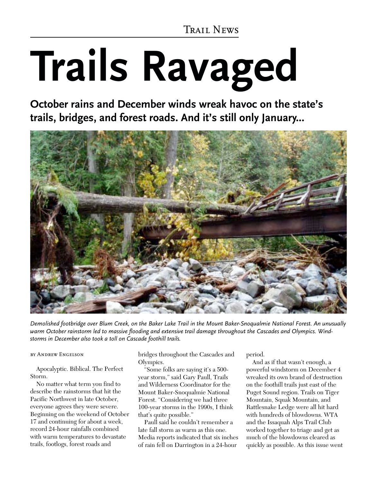*Trail News*

# **Trails Ravaged**

**October rains and December winds wreak havoc on the state's trails, bridges, and forest roads. And it's still only January...**



*Demolished footbridge over Blum Creek, on the Baker Lake Trail in the Mount Baker-Snoqualmie National Forest. An unusually warm October rainstorm led to massive flooding and extensive trail damage throughout the Cascades and Olympics. Windstorms in December also took a toll on Cascade foothill trails.*

#### *by Andrew Engelson*

Apocalyptic. Biblical. The Perfect Storm.

No matter what term you find to describe the rainstorms that hit the Pacific Northwest in late October, everyone agrees they were severe. Beginning on the weekend of October 17 and continuing for about a week, record 24-hour rainfalls combined with warm temperatures to devastate trails, footlogs, forest roads and

bridges throughout the Cascades and Olympics.

"Some folks are saying it's a 500 year storm," said Gary Paull, Trails and Wilderness Coordinator for the Mount Baker-Snoqualmie National Forest. "Considering we had three 100-year storms in the 1990s, I think that's quite possible."

Paull said he couldn't remember a late fall storm as warm as this one. Media reports indicated that six inches of rain fell on Darrington in a 24-hour

period.

And as if that wasn't enough, a powerful windstorm on December 4 wreaked its own brand of destruction on the foothill trails just east of the Puget Sound region. Trails on Tiger Mountain, Squak Mountain, and Rattlesnake Ledge were all hit hard with hundreds of blowdowns. WTA and the Issaquah Alps Trail Club worked together to triage and get as much of the blowdowns cleared as quickly as possible. As this issue went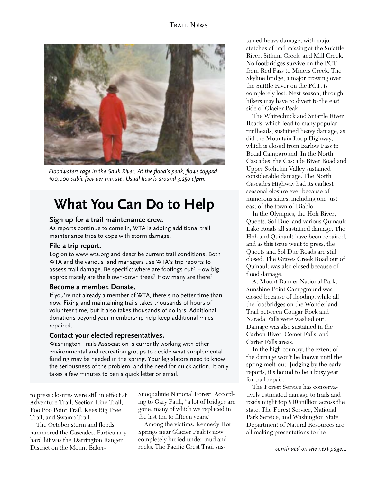

*Floodwaters rage in the Sauk River. At the flood's peak, flows topped 100,000 cubic feet per minute. Usual flow is around 3,250 cfpm.*

# **What You Can Do to Help**

#### **Sign up for a trail maintenance crew.**

As reports continue to come in, WTA is adding additional trail maintenance trips to cope with storm damage.

#### **File a trip report.**

Log on to www.wta.org and describe current trail conditions. Both WTA and the various land managers use WTA's trip reports to assess trail damage. Be specific: where are footlogs out? How big approximately are the blown-down trees? How many are there?

#### **Become a member. Donate.**

If you're not already a member of WTA, there's no better time than now. Fixing and maintaining trails takes thousands of hours of volunteer time, but it also takes thousands of dollars. Additional donations beyond your membership help keep additional miles repaired.

#### **Contact your elected representatives.**

Washington Trails Association is currently working with other environmental and recreation groups to decide what supplemental funding may be needed in the spring. Your legislators need to know the seriousness of the problem, and the need for quick action. It only takes a few minutes to pen a quick letter or email.

to press closures were still in effect at Adventure Trail, Section Line Trail, Poo Poo Point Trail, Kees Big Tree Trail, and Swamp Trail.

The October storm and floods hammered the Cascades. Particularly hard hit was the Darrington Ranger District on the Mount BakerSnoqualmie National Forest. According to Gary Paull, "a lot of bridges are gone, many of which we replaced in the last ten to fifteen years."

Among the victims: Kennedy Hot Springs near Glacier Peak is now completely buried under mud and rocks. The Pacific Crest Trail sus-

tained heavy damage, with major stetches of trail missing at the Suiattle River, Sitkum Creek, and Mill Creek. No footbridges survive on the PCT from Red Pass to Miners Creek. The Skyline bridge, a major crossing over the Suittle River on the PCT, is completely lost. Next season, throughhikers may have to divert to the east side of Glacier Peak.

The Whitechuck and Suiattle River Roads, which lead to many popular trailheads, sustained heavy damage, as did the Mountain Loop Highway, which is closed from Barlow Pass to Bedal Campground. In the North Cascades, the Cascade River Road and Upper Stehekin Valley sustained considerable damage. The North Cascades Highway had its earliest seasonal closure ever because of numerous slides, including one just east of the town of Diablo.

In the Olympics, the Hoh River, Queets, Sol Duc, and various Quinault Lake Roads all sustained damage. The Hoh and Quinault have been repaired, and as this issue went to press, the Queets and Sol Duc Roads are still closed. The Graves Creek Road out of Quinault was also closed because of flood damage.

At Mount Rainier National Park, Sunshine Point Campground was closed because of flooding, while all the footbridges on the Wonderland Trail between Cougar Rock and Narada Falls were washed out. Damage was also sustained in the Carbon River, Comet Falls, and Carter Falls areas.

In the high country, the extent of the damage won't be known until the spring melt-out. Judging by the early reports, it's bound to be a busy year for trail repair.

The Forest Service has conservatively estimated damage to trails and roads might top \$10 million across the state. The Forest Service, National Park Service, and Washington State Department of Natural Resources are all making presentations to the

*continued on the next page...*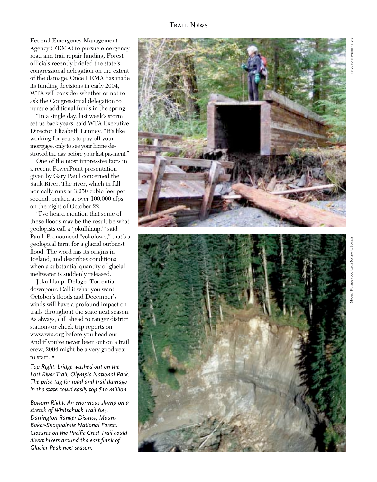Federal Emergency Management Agency (FEMA) to pursue emergency road and trail repair funding. Forest officials recently briefed the state's congressional delegation on the extent of the damage. Once FEMA has made its funding decisions in early 2004, WTA will consider whether or not to ask the Congressional delegation to pursue additional funds in the spring.

"In a single day, last week's storm set us back years, said WTA Executive Director Elizabeth Lunney. "It's like working for years to pay off your mortgage, only to see your home destroyed the day before your last payment."

One of the most impressive facts in a recent PowerPoint presentation given by Gary Paull concerned the Sauk River. The river, which in fall normally runs at 3,250 cubic feet per second, peaked at over 100,000 cfps on the night of October 22.

"I've heard mention that some of these floods may be the result be what geologists call a 'jokulhlaup,'" said Paull. Pronounced "yokolowp," that's a geological term for a glacial outburst flood. The word has its origins in Iceland, and describes conditions when a substantial quantity of glacial meltwater is suddenly released.

Jokulhlaup. Deluge. Torrential downpour. Call it what you want, October's floods and December's winds will have a profound impact on trails throughout the state next season. As always, call ahead to ranger district stations or check trip reports on www.wta.org before you head out. And if you've never been out on a trail crew, 2004 might be a very good year to start.

*Top Right: bridge washed out on the Lost River Trail, Olympic National Park. The price tag for road and trail damage in the state could easily top \$10 million.*

*Bottom Right: An enormous slump on a stretch of Whitechuck Trail 643, Darrington Ranger District, Mount Baker-Snoqualmie National Forest. Closures on the Pacific Crest Trail could divert hikers around the east flank of Glacier Peak next season.*

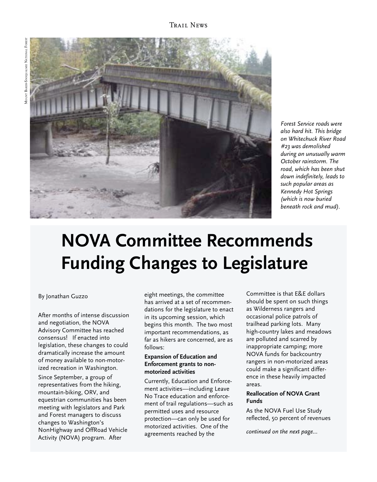

*Forest Service roads were also hard hit. This bridge on Whitechuck River Road #23 was demolished during an unusually warm October rainstorm. The road, which has been shut down indefinitely, leads to such popular areas as Kennedy Hot Springs (which is now buried beneath rock and mud).*

# **NOVA Committee Recommends Funding Changes to Legislature**

#### By Jonathan Guzzo

After months of intense discussion and negotiation, the NOVA Advisory Committee has reached consensus! If enacted into legislation, these changes to could dramatically increase the amount of money available to non-motorized recreation in Washington.

Since September, a group of representatives from the hiking, mountain-biking, ORV, and equestrian communities has been meeting with legislators and Park and Forest managers to discuss changes to Washington's NonHighway and OffRoad Vehicle Activity (NOVA) program. After

eight meetings, the committee has arrived at a set of recommendations for the legislature to enact in its upcoming session, which begins this month. The two most important recommendations, as far as hikers are concerned, are as follows:

#### **Expansion of Education and Enforcement grants to nonmotorized activities**

Currently, Education and Enforcement activities—including Leave No Trace education and enforcement of trail regulations—such as permitted uses and resource protection—can only be used for motorized activities. One of the agreements reached by the *continued on the next page...*

Committee is that E&E dollars should be spent on such things as Wilderness rangers and occasional police patrols of trailhead parking lots. Many high-country lakes and meadows are polluted and scarred by inappropriate camping; more NOVA funds for backcountry rangers in non-motorized areas could make a significant difference in these heavily impacted areas.

#### **Reallocation of NOVA Grant Funds**

As the NOVA Fuel Use Study reflected, 50 percent of revenues